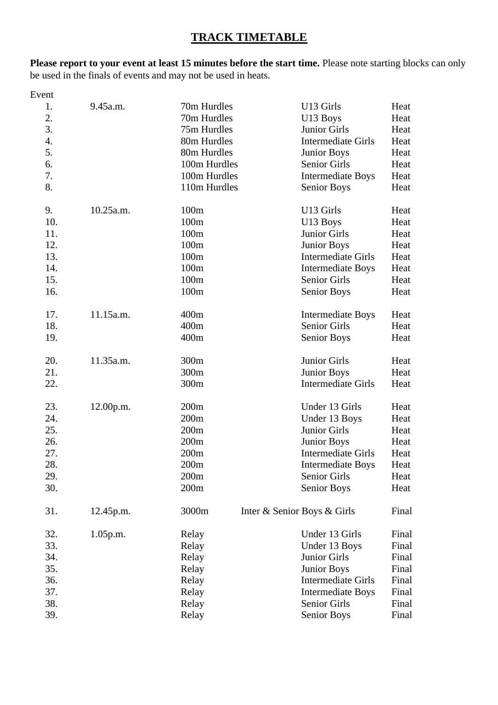# **TRACK TIMETABLE**

**Please report to your event at least 15 minutes before the start time.** Please note starting blocks can only be used in the finals of events and may not be used in heats.

| Event |             |              |                             |       |
|-------|-------------|--------------|-----------------------------|-------|
| 1.    | 9.45a.m.    | 70m Hurdles  | U13 Girls                   | Heat  |
| 2.    |             | 70m Hurdles  | U13 Boys                    | Heat  |
| 3.    |             | 75m Hurdles  | <b>Junior Girls</b>         | Heat  |
| 4.    |             | 80m Hurdles  | <b>Intermediate Girls</b>   | Heat  |
| 5.    |             | 80m Hurdles  | <b>Junior Boys</b>          | Heat  |
| 6.    |             | 100m Hurdles | Senior Girls                | Heat  |
| 7.    |             | 100m Hurdles | <b>Intermediate Boys</b>    | Heat  |
| 8.    |             | 110m Hurdles | Senior Boys                 | Heat  |
| 9.    | 10.25a.m.   | 100m         | U13 Girls                   | Heat  |
| 10.   |             | 100m         | U13 Boys                    | Heat  |
| 11.   |             | 100m         | Junior Girls                | Heat  |
| 12.   |             | 100m         | <b>Junior Boys</b>          | Heat  |
| 13.   |             | 100m         | <b>Intermediate Girls</b>   | Heat  |
| 14.   |             | 100m         | <b>Intermediate Boys</b>    | Heat  |
| 15.   |             | 100m         | Senior Girls                | Heat  |
| 16.   |             | 100m         | <b>Senior Boys</b>          | Heat  |
| 17.   | 11.15a.m.   | 400m         | <b>Intermediate Boys</b>    | Heat  |
| 18.   |             | 400m         | <b>Senior Girls</b>         | Heat  |
| 19.   |             | 400m         | Senior Boys                 | Heat  |
| 20.   | 11.35a.m.   | 300m         | Junior Girls                | Heat  |
| 21.   |             | 300m         | <b>Junior Boys</b>          | Heat  |
| 22.   |             | 300m         | <b>Intermediate Girls</b>   | Heat  |
| 23.   | 12.00p.m.   | 200m         | Under 13 Girls              | Heat  |
| 24.   |             | 200m         | Under 13 Boys               | Heat  |
| 25.   |             | 200m         | Junior Girls                | Heat  |
| 26.   |             | 200m         | <b>Junior Boys</b>          | Heat  |
| 27.   |             | 200m         | <b>Intermediate Girls</b>   | Heat  |
| 28.   |             | 200m         | <b>Intermediate Boys</b>    | Heat  |
| 29.   |             | 200m         | Senior Girls                | Heat  |
| 30.   |             | 200m         | Senior Boys                 | Heat  |
| 31.   | 12.45p.m.   | 3000m        | Inter & Senior Boys & Girls | Final |
| 32.   | $1.05$ p.m. | Relay        | Under 13 Girls              | Final |
| 33.   |             | Relay        | Under 13 Boys               | Final |
| 34.   |             | Relay        | Junior Girls                | Final |
| 35.   |             | Relay        | <b>Junior Boys</b>          | Final |
| 36.   |             | Relay        | <b>Intermediate Girls</b>   | Final |
| 37.   |             | Relay        | <b>Intermediate Boys</b>    | Final |
| 38.   |             | Relay        | Senior Girls                | Final |
| 39.   |             | Relay        | <b>Senior Boys</b>          | Final |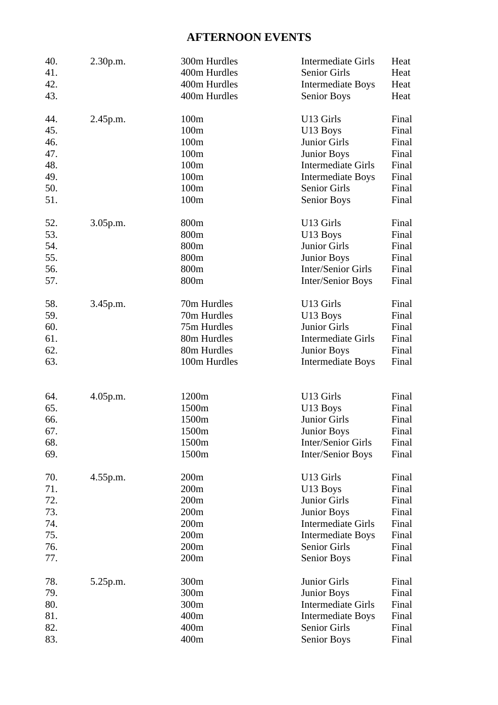# **AFTERNOON EVENTS**

| 40.        | 2.30 p.m. | 300m Hurdles | <b>Intermediate Girls</b> | Heat  |
|------------|-----------|--------------|---------------------------|-------|
| 41.        |           | 400m Hurdles | Senior Girls              | Heat  |
| 42.        |           | 400m Hurdles | <b>Intermediate Boys</b>  | Heat  |
| 43.        |           | 400m Hurdles | <b>Senior Boys</b>        | Heat  |
| 44.        | 2.45p.m.  | 100m         | U13 Girls                 | Final |
| 45.        |           | 100m         | U13 Boys                  | Final |
| 46.        |           | 100m         | Junior Girls              | Final |
| 47.        |           | 100m         | <b>Junior Boys</b>        | Final |
| 48.        |           | 100m         | Intermediate Girls        | Final |
| 49.        |           | 100m         | <b>Intermediate Boys</b>  | Final |
| 50.        |           | 100m         | Senior Girls              | Final |
| 51.        |           | 100m         | <b>Senior Boys</b>        | Final |
| 52.        | 3.05p.m.  | 800m         | U13 Girls                 | Final |
| 53.        |           | 800m         | U13 Boys                  | Final |
| 54.        |           | 800m         | Junior Girls              | Final |
| 55.        |           | 800m         | <b>Junior Boys</b>        | Final |
| 56.        |           | 800m         | Inter/Senior Girls        | Final |
| 57.        |           | 800m         | Inter/Senior Boys         | Final |
| 58.        | 3.45p.m.  | 70m Hurdles  | U13 Girls                 | Final |
| 59.        |           | 70m Hurdles  | U13 Boys                  | Final |
| 60.        |           | 75m Hurdles  | Junior Girls              | Final |
| 61.        |           | 80m Hurdles  | <b>Intermediate Girls</b> | Final |
| 62.        |           | 80m Hurdles  | <b>Junior Boys</b>        | Final |
| 63.        |           | 100m Hurdles | <b>Intermediate Boys</b>  | Final |
|            |           | 1200m        | U13 Girls                 | Final |
| 64.<br>65. | 4.05p.m.  | 1500m        |                           | Final |
| 66.        |           | 1500m        | U13 Boys<br>Junior Girls  | Final |
| 67.        |           | 1500m        | Junior Boys               | Final |
| 68.        |           | 1500m        | Inter/Senior Girls        | Final |
| 69.        |           | 1500m        | Inter/Senior Boys         | Final |
| 70.        | 4.55 p.m. | 200m         | U13 Girls                 | Final |
| 71.        |           | 200m         | U13 Boys                  | Final |
| 72.        |           | 200m         | Junior Girls              | Final |
| 73.        |           | 200m         | <b>Junior Boys</b>        | Final |
| 74.        |           | 200m         | <b>Intermediate Girls</b> | Final |
| 75.        |           | 200m         | <b>Intermediate Boys</b>  | Final |
| 76.        |           | 200m         | Senior Girls              | Final |
| 77.        |           | 200m         | Senior Boys               | Final |
| 78.        | 5.25p.m.  | 300m         | Junior Girls              | Final |
| 79.        |           | 300m         | <b>Junior Boys</b>        | Final |
| 80.        |           | 300m         | <b>Intermediate Girls</b> | Final |
| 81.        |           | 400m         | <b>Intermediate Boys</b>  | Final |
| 82.        |           | 400m         | Senior Girls              | Final |
| 83.        |           | 400m         | <b>Senior Boys</b>        | Final |